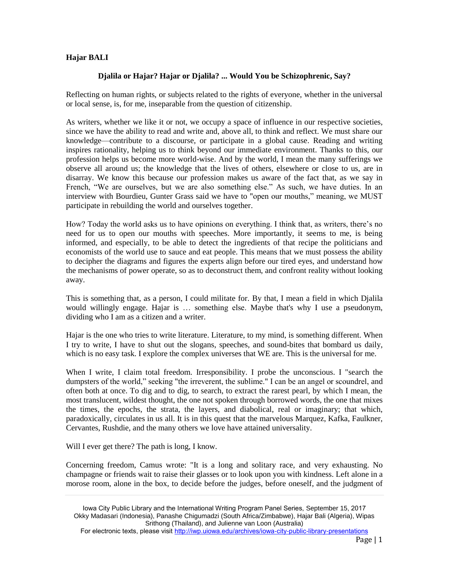## **Hajar BALI**

## **Djalila or Hajar? Hajar or Djalila? ... Would You be Schizophrenic, Say?**

Reflecting on human rights, or subjects related to the rights of everyone, whether in the universal or local sense, is, for me, inseparable from the question of citizenship.

As writers, whether we like it or not, we occupy a space of influence in our respective societies, since we have the ability to read and write and, above all, to think and reflect. We must share our knowledge—contribute to a discourse, or participate in a global cause. Reading and writing inspires rationality, helping us to think beyond our immediate environment. Thanks to this, our profession helps us become more world-wise. And by the world, I mean the many sufferings we observe all around us; the knowledge that the lives of others, elsewhere or close to us, are in disarray. We know this because our profession makes us aware of the fact that, as we say in French, "We are ourselves, but we are also something else." As such, we have duties. In an interview with Bourdieu, Gunter Grass said we have to "open our mouths," meaning, we MUST participate in rebuilding the world and ourselves together.

How? Today the world asks us to have opinions on everything. I think that, as writers, there's no need for us to open our mouths with speeches. More importantly, it seems to me, is being informed, and especially, to be able to detect the ingredients of that recipe the politicians and economists of the world use to sauce and eat people. This means that we must possess the ability to decipher the diagrams and figures the experts align before our tired eyes, and understand how the mechanisms of power operate, so as to deconstruct them, and confront reality without looking away.

This is something that, as a person, I could militate for. By that, I mean a field in which Djalila would willingly engage. Hajar is ... something else. Maybe that's why I use a pseudonym, dividing who I am as a citizen and a writer.

Hajar is the one who tries to write literature. Literature, to my mind, is something different. When I try to write, I have to shut out the slogans, speeches, and sound-bites that bombard us daily, which is no easy task. I explore the complex universes that WE are. This is the universal for me.

When I write, I claim total freedom. Irresponsibility. I probe the unconscious. I "search the dumpsters of the world," seeking "the irreverent, the sublime." I can be an angel or scoundrel, and often both at once. To dig and to dig, to search, to extract the rarest pearl, by which I mean, the most translucent, wildest thought, the one not spoken through borrowed words, the one that mixes the times, the epochs, the strata, the layers, and diabolical, real or imaginary; that which, paradoxically, circulates in us all. It is in this quest that the marvelous Marquez, Kafka, Faulkner, Cervantes, Rushdie, and the many others we love have attained universality.

Will I ever get there? The path is long, I know.

Concerning freedom, Camus wrote: "It is a long and solitary race, and very exhausting. No champagne or friends wait to raise their glasses or to look upon you with kindness. Left alone in a morose room, alone in the box, to decide before the judges, before oneself, and the judgment of

Iowa City Public Library and the International Writing Program Panel Series, September 15, 2017 Okky Madasari (Indonesia), Panashe Chigumadzi (South Africa/Zimbabwe), Hajar Bali (Algeria), Wipas Srithong (Thailand), and Julienne van Loon (Australia)

For electronic texts, please visit<http://iwp.uiowa.edu/archives/iowa-city-public-library-presentations>